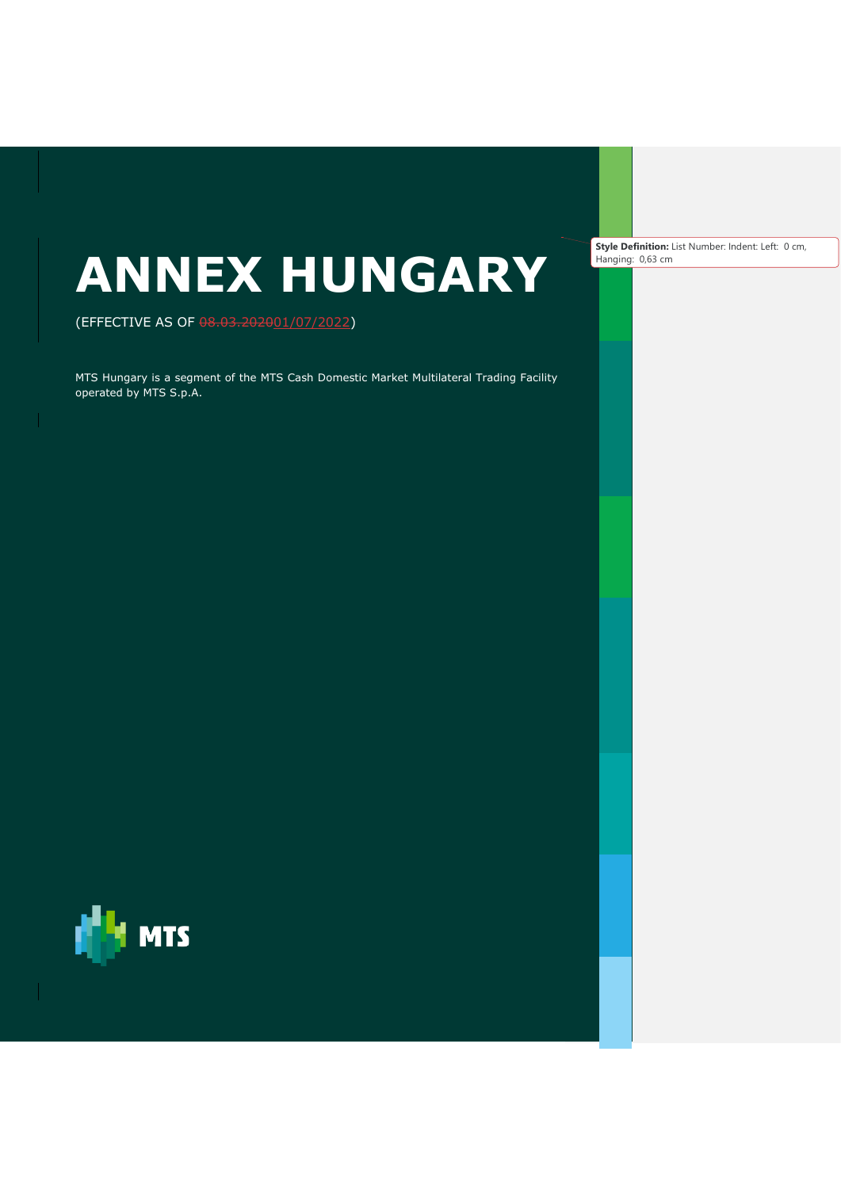# **ANNEX HUNGARY**

(EFFECTIVE AS OF 08.03.202001/07/2022)

MTS Hungary is a segment of the MTS Cash Domestic Market Multilateral Trading Facility operated by MTS S.p.A.



**Style Definition:** List Number: Indent: Left: 0 cm, Hanging: 0,63 cm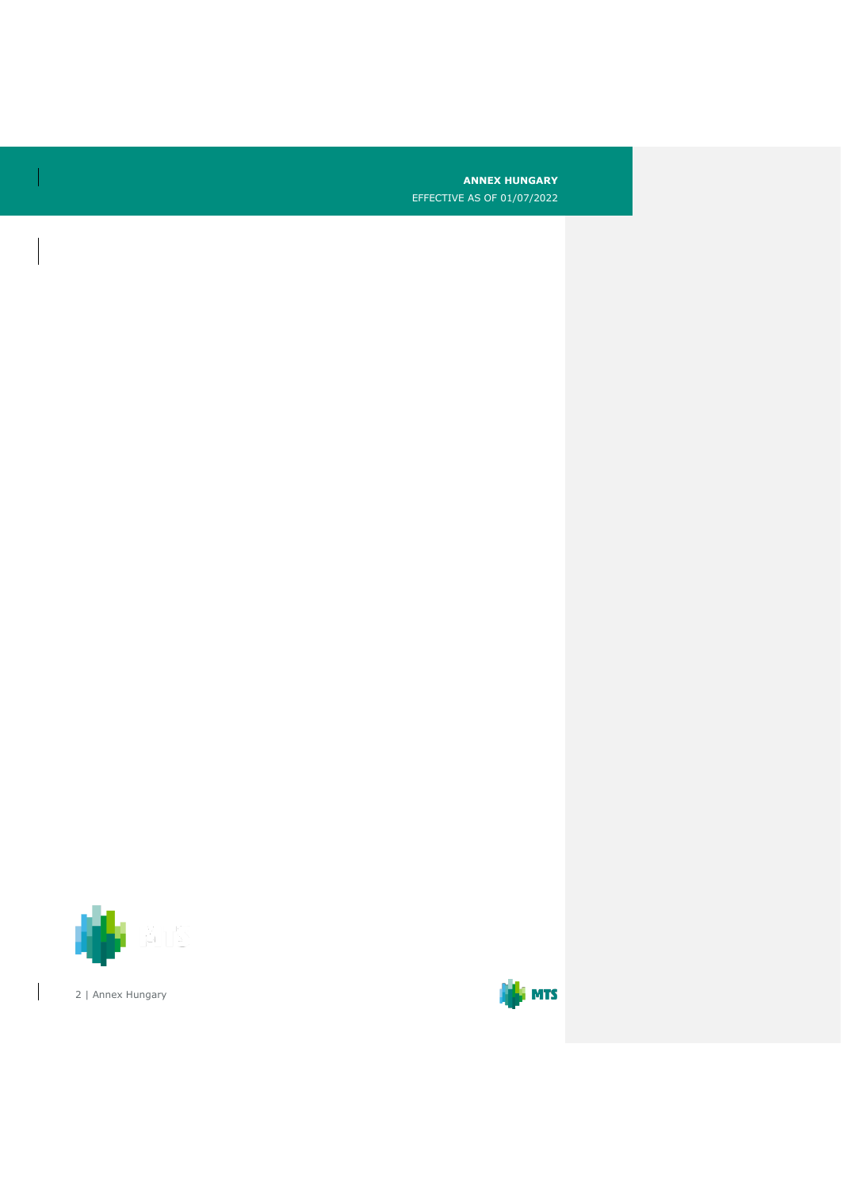**ANNEX HUNGARY**

EFFECTIVE AS OF 01/07/2022



 $\overline{\phantom{a}}$ 

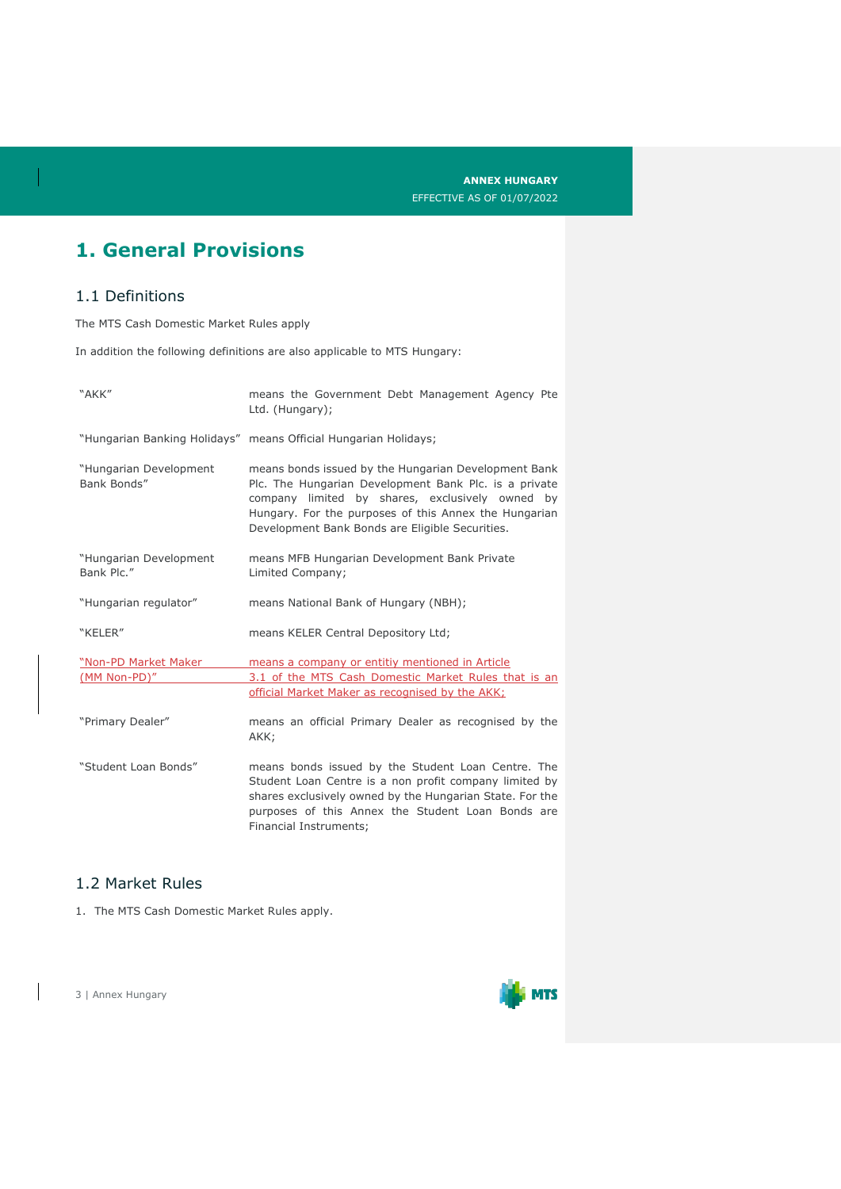## **1. General Provisions**

#### 1.1 Definitions

The MTS Cash Domestic Market Rules apply

In addition the following definitions are also applicable to MTS Hungary:

| "AKK"                                 | means the Government Debt Management Agency Pte<br>Ltd. (Hungary);                                                                                                                                                                                                           |  |  |
|---------------------------------------|------------------------------------------------------------------------------------------------------------------------------------------------------------------------------------------------------------------------------------------------------------------------------|--|--|
|                                       | "Hungarian Banking Holidays" means Official Hungarian Holidays;                                                                                                                                                                                                              |  |  |
| "Hungarian Development<br>Bank Bonds" | means bonds issued by the Hungarian Development Bank<br>Plc. The Hungarian Development Bank Plc. is a private<br>company limited by shares, exclusively owned by<br>Hungary. For the purposes of this Annex the Hungarian<br>Development Bank Bonds are Eligible Securities. |  |  |
| "Hungarian Development<br>Bank Plc."  | means MFB Hungarian Development Bank Private<br>Limited Company;                                                                                                                                                                                                             |  |  |
| "Hungarian regulator"                 | means National Bank of Hungary (NBH);                                                                                                                                                                                                                                        |  |  |
| "KELER"                               | means KELER Central Depository Ltd;                                                                                                                                                                                                                                          |  |  |
| "Non-PD Market Maker<br>(MM Non-PD)"  | means a company or entitiy mentioned in Article<br>3.1 of the MTS Cash Domestic Market Rules that is an<br>official Market Maker as recognised by the AKK:                                                                                                                   |  |  |
| "Primary Dealer"                      | means an official Primary Dealer as recognised by the<br>AKK;                                                                                                                                                                                                                |  |  |
| "Student Loan Bonds"                  | means bonds issued by the Student Loan Centre. The<br>Student Loan Centre is a non profit company limited by<br>shares exclusively owned by the Hungarian State. For the<br>purposes of this Annex the Student Loan Bonds are<br>Financial Instruments:                      |  |  |

#### 1.2 Market Rules

1. The MTS Cash Domestic Market Rules apply.

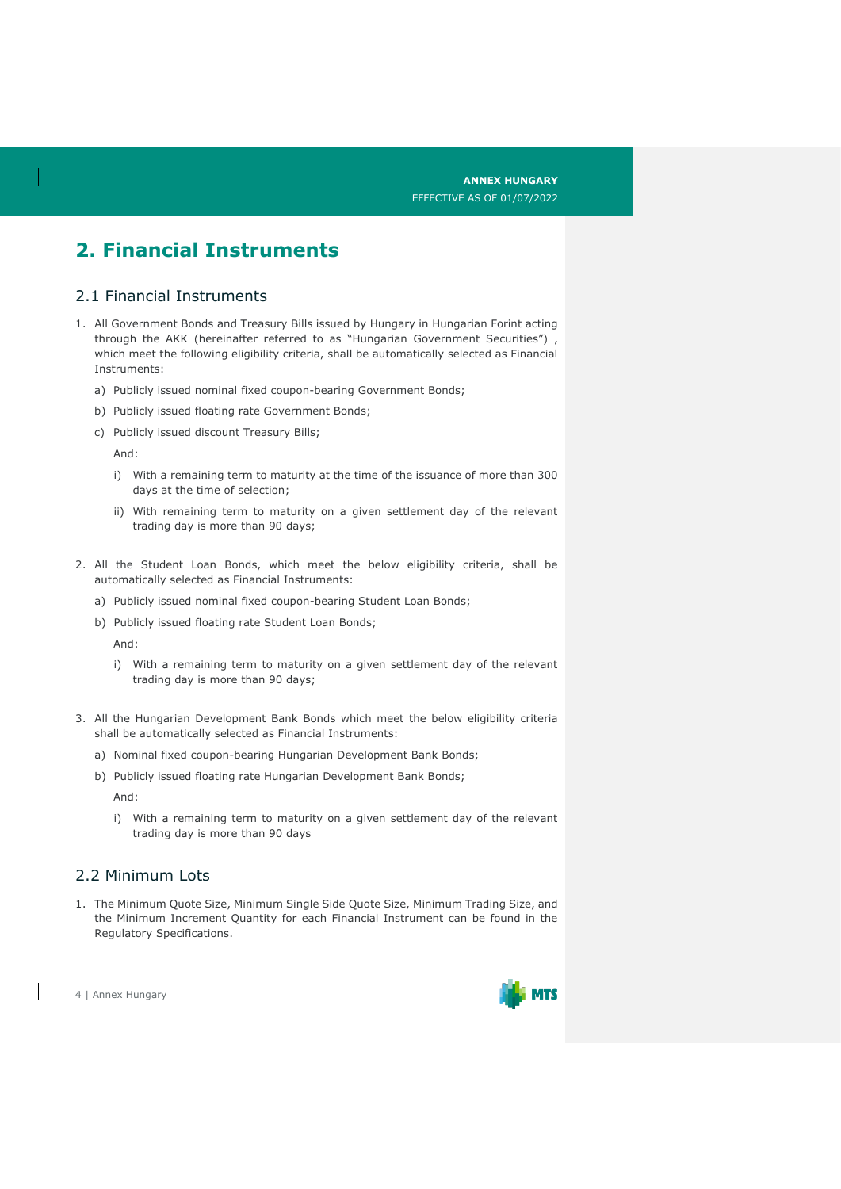## **2. Financial Instruments**

#### 2.1 Financial Instruments

- 1. All Government Bonds and Treasury Bills issued by Hungary in Hungarian Forint acting through the AKK (hereinafter referred to as "Hungarian Government Securities") which meet the following eligibility criteria, shall be automatically selected as Financial Instruments:
	- a) Publicly issued nominal fixed coupon-bearing Government Bonds;
	- b) Publicly issued floating rate Government Bonds;
	- c) Publicly issued discount Treasury Bills;

And:

- i) With a remaining term to maturity at the time of the issuance of more than 300 days at the time of selection;
- ii) With remaining term to maturity on a given settlement day of the relevant trading day is more than 90 days;
- 2. All the Student Loan Bonds, which meet the below eligibility criteria, shall be automatically selected as Financial Instruments:
	- a) Publicly issued nominal fixed coupon-bearing Student Loan Bonds;
	- b) Publicly issued floating rate Student Loan Bonds;

And:

- i) With a remaining term to maturity on a given settlement day of the relevant trading day is more than 90 days;
- 3. All the Hungarian Development Bank Bonds which meet the below eligibility criteria shall be automatically selected as Financial Instruments:
	- a) Nominal fixed coupon-bearing Hungarian Development Bank Bonds;
	- b) Publicly issued floating rate Hungarian Development Bank Bonds;

And:

i) With a remaining term to maturity on a given settlement day of the relevant trading day is more than 90 days

#### 2.2 Minimum Lots

1. The Minimum Quote Size, Minimum Single Side Quote Size, Minimum Trading Size, and the Minimum Increment Quantity for each Financial Instrument can be found in the Regulatory Specifications.

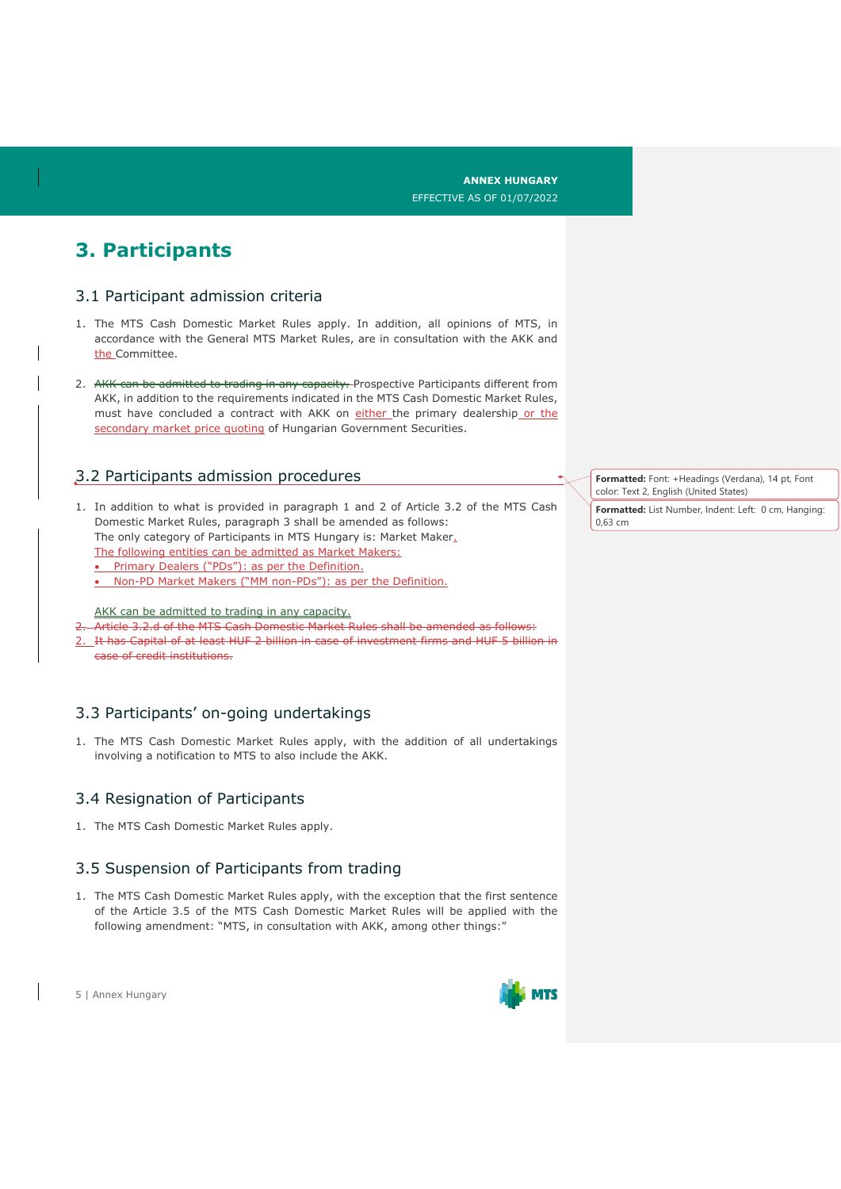## **3. Participants**

#### 3.1 Participant admission criteria

- 1. The MTS Cash Domestic Market Rules apply. In addition, all opinions of MTS, in accordance with the General MTS Market Rules, are in consultation with the AKK and the Committee.
- 2. AKK can be admitted to trading in any capacity. Prospective Participants different from AKK, in addition to the requirements indicated in the MTS Cash Domestic Market Rules, must have concluded a contract with AKK on either the primary dealership or the secondary market price quoting of Hungarian Government Securities.

#### 3.2 Participants admission procedures

- 1. In addition to what is provided in paragraph 1 and 2 of Article 3.2 of the MTS Cash Domestic Market Rules, paragraph 3 shall be amended as follows: The only category of Participants in MTS Hungary is: Market Maker.
	- The following entities can be admitted as Market Makers:
	- Primary Dealers ("PDs"): as per the Definition.
	- Non-PD Market Makers ("MM non-PDs"): as per the Definition.

AKK can be admitted to trading in any capacity.

- Article 3.2.d of the MTS Cash Domestic Market Rules shall be amended as follows:
- 2. It has Capital of at least HUF 2 billion in case of investment firms and HUF 5 billion in case of credit institutions.

#### 3.3 Participants' on-going undertakings

1. The MTS Cash Domestic Market Rules apply, with the addition of all undertakings involving a notification to MTS to also include the AKK.

#### 3.4 Resignation of Participants

1. The MTS Cash Domestic Market Rules apply.

#### 3.5 Suspension of Participants from trading

1. The MTS Cash Domestic Market Rules apply, with the exception that the first sentence of the Article 3.5 of the MTS Cash Domestic Market Rules will be applied with the following amendment: "MTS, in consultation with AKK, among other things:"

5 | Annex Hungary



**Formatted:** Font: +Headings (Verdana), 14 pt, Font color: Text 2, English (United States)

**Formatted:** List Number, Indent: Left: 0 cm, Hanging: 0,63 cm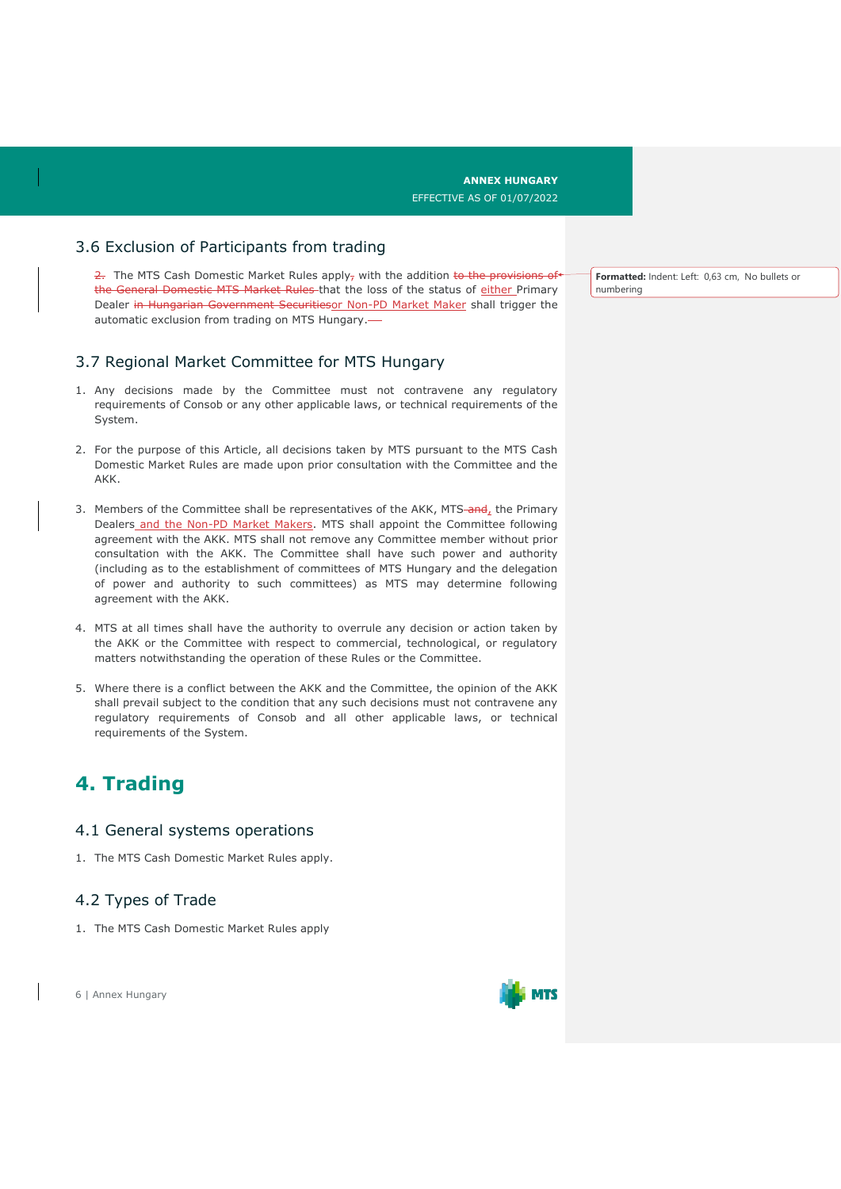#### 3.6 Exclusion of Participants from trading

 $\frac{2}{2}$ . The MTS Cash Domestic Market Rules apply<sub>7</sub> with the addition to the provisions of the General Domestic MTS Market Rules that the loss of the status of either Primary Dealer in Hungarian Government Securitiesor Non-PD Market Maker shall trigger the automatic exclusion from trading on MTS Hungary.

#### 3.7 Regional Market Committee for MTS Hungary

- 1. Any decisions made by the Committee must not contravene any regulatory requirements of Consob or any other applicable laws, or technical requirements of the System.
- 2. For the purpose of this Article, all decisions taken by MTS pursuant to the MTS Cash Domestic Market Rules are made upon prior consultation with the Committee and the AKK.
- 3. Members of the Committee shall be representatives of the AKK, MTS-and, the Primary Dealers and the Non-PD Market Makers. MTS shall appoint the Committee following agreement with the AKK. MTS shall not remove any Committee member without prior consultation with the AKK. The Committee shall have such power and authority (including as to the establishment of committees of MTS Hungary and the delegation of power and authority to such committees) as MTS may determine following agreement with the AKK.
- 4. MTS at all times shall have the authority to overrule any decision or action taken by the AKK or the Committee with respect to commercial, technological, or regulatory matters notwithstanding the operation of these Rules or the Committee.
- 5. Where there is a conflict between the AKK and the Committee, the opinion of the AKK shall prevail subject to the condition that any such decisions must not contravene any regulatory requirements of Consob and all other applicable laws, or technical requirements of the System.

### **4. Trading**

#### 4.1 General systems operations

1. The MTS Cash Domestic Market Rules apply.

#### 4.2 Types of Trade

1. The MTS Cash Domestic Market Rules apply

6 | Annex Hungary



**Formatted:** Indent: Left: 0,63 cm, No bullets or numbering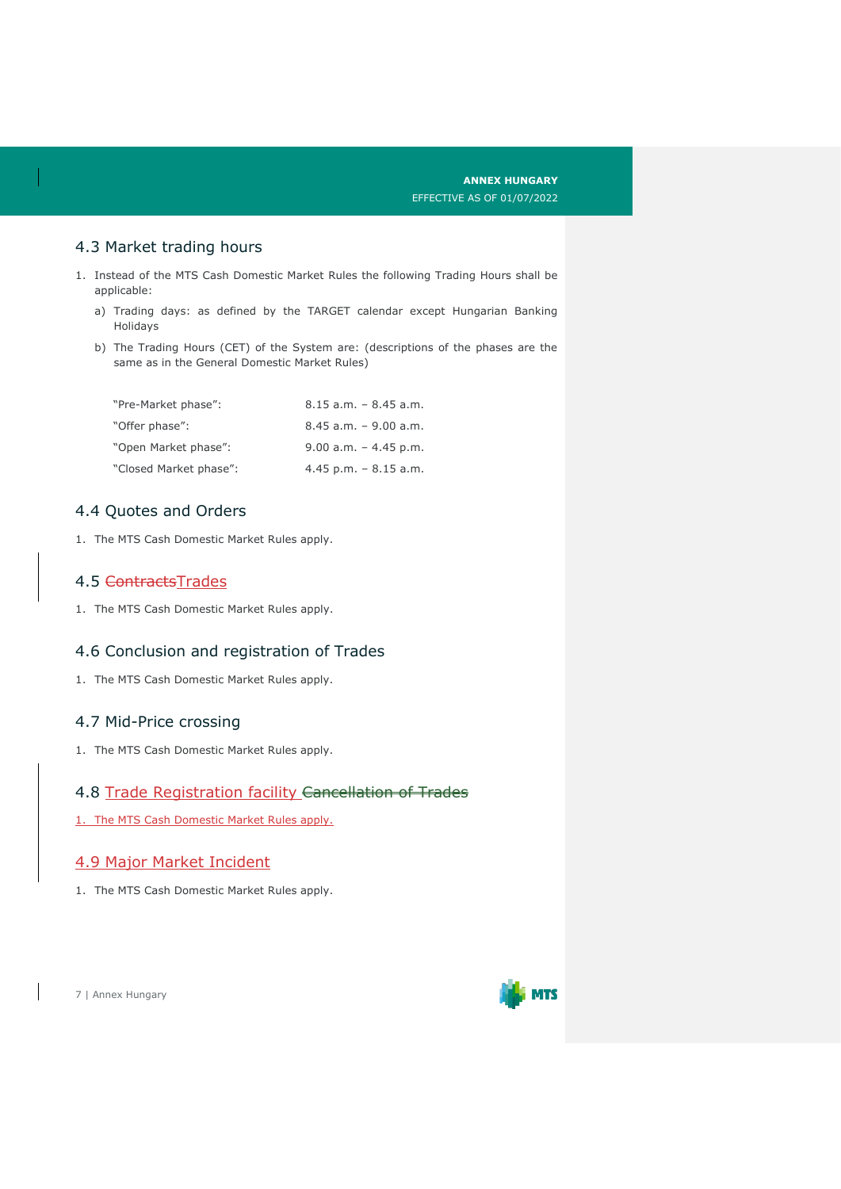#### 4.3 Market trading hours

- 1. Instead of the MTS Cash Domestic Market Rules the following Trading Hours shall be applicable:
	- a) Trading days: as defined by the TARGET calendar except Hungarian Banking Holidays
	- b) The Trading Hours (CET) of the System are: (descriptions of the phases are the same as in the General Domestic Market Rules)

| "Pre-Market phase":    | $8.15$ a.m. $-$ 8.45 a.m. |
|------------------------|---------------------------|
| "Offer phase":         | $8.45$ a.m. $-9.00$ a.m.  |
| "Open Market phase":   | $9.00$ a.m. $-4.45$ p.m.  |
| "Closed Market phase": | $4.45$ p.m. $-8.15$ a.m.  |

#### 4.4 Quotes and Orders

1. The MTS Cash Domestic Market Rules apply.

#### 4.5 ContractsTrades

1. The MTS Cash Domestic Market Rules apply.

#### 4.6 Conclusion and registration of Trades

1. The MTS Cash Domestic Market Rules apply.

#### 4.7 Mid-Price crossing

1. The MTS Cash Domestic Market Rules apply.

#### 4.8 Trade Registration facility Cancellation of Trades

1. The MTS Cash Domestic Market Rules apply.

#### 4.9 Major Market Incident

1. The MTS Cash Domestic Market Rules apply.

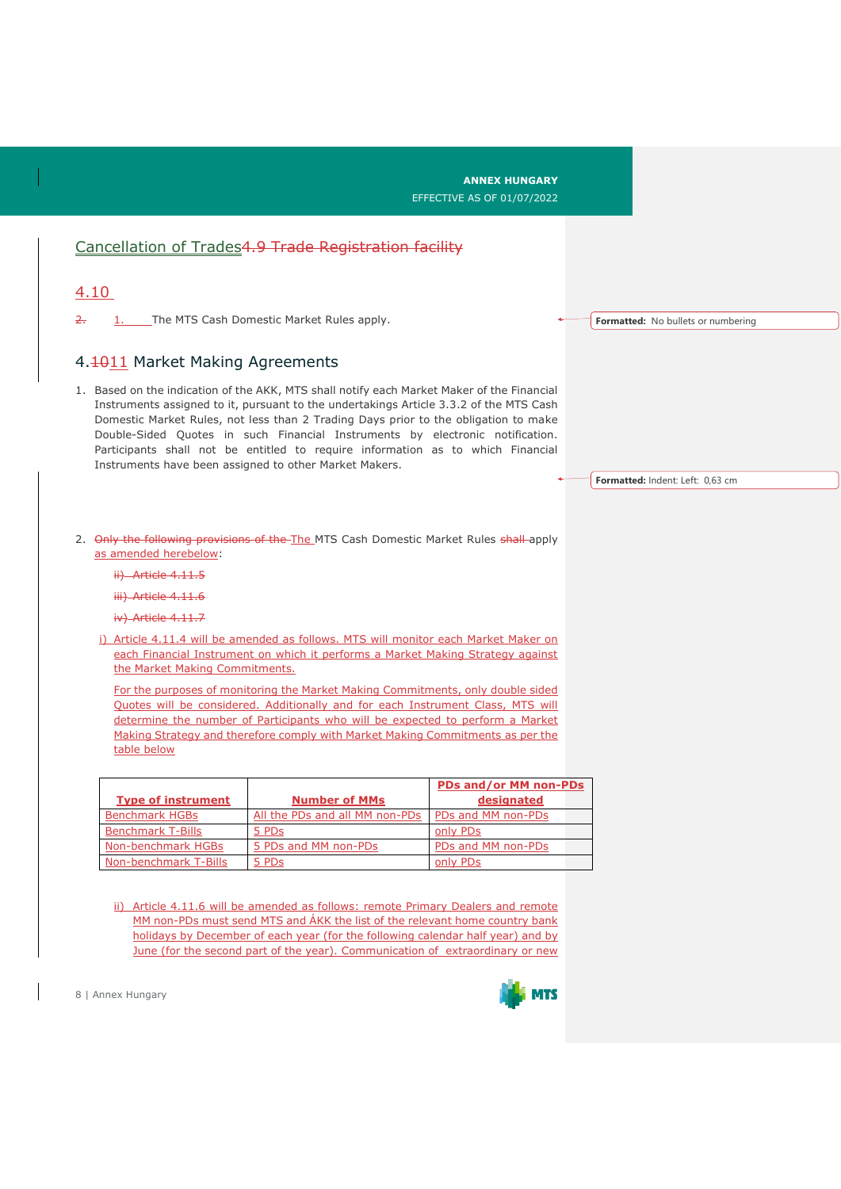|                                                                                                                                                                                                                                                                                                                                                                                                                                                                                                           |                                                                                                                                                                                                                                                                                                                                       | <b>ANNEX HUNGARY</b><br><b>EFFECTIVE AS OF 01/07/2022</b> |                                    |
|-----------------------------------------------------------------------------------------------------------------------------------------------------------------------------------------------------------------------------------------------------------------------------------------------------------------------------------------------------------------------------------------------------------------------------------------------------------------------------------------------------------|---------------------------------------------------------------------------------------------------------------------------------------------------------------------------------------------------------------------------------------------------------------------------------------------------------------------------------------|-----------------------------------------------------------|------------------------------------|
|                                                                                                                                                                                                                                                                                                                                                                                                                                                                                                           | Cancellation of Trades4.9 Trade Registration facility                                                                                                                                                                                                                                                                                 |                                                           |                                    |
| 4.10                                                                                                                                                                                                                                                                                                                                                                                                                                                                                                      |                                                                                                                                                                                                                                                                                                                                       |                                                           |                                    |
| 2.                                                                                                                                                                                                                                                                                                                                                                                                                                                                                                        | 1. The MTS Cash Domestic Market Rules apply.                                                                                                                                                                                                                                                                                          |                                                           | Formatted: No bullets or numbering |
| 4.1011 Market Making Agreements                                                                                                                                                                                                                                                                                                                                                                                                                                                                           |                                                                                                                                                                                                                                                                                                                                       |                                                           |                                    |
| 1. Based on the indication of the AKK, MTS shall notify each Market Maker of the Financial<br>Instruments assigned to it, pursuant to the undertakings Article 3.3.2 of the MTS Cash<br>Domestic Market Rules, not less than 2 Trading Days prior to the obligation to make<br>Double-Sided Quotes in such Financial Instruments by electronic notification.<br>Participants shall not be entitled to require information as to which Financial<br>Instruments have been assigned to other Market Makers. |                                                                                                                                                                                                                                                                                                                                       |                                                           | Formatted: Indent: Left: 0,63 cm   |
| as amended herebelow:<br>ii) Article 4.11.5<br>iii) Article 4.11.6                                                                                                                                                                                                                                                                                                                                                                                                                                        | 2. Only the following provisions of the The MTS Cash Domestic Market Rules shall-apply                                                                                                                                                                                                                                                |                                                           |                                    |
| iv) Article 4.11.7                                                                                                                                                                                                                                                                                                                                                                                                                                                                                        |                                                                                                                                                                                                                                                                                                                                       |                                                           |                                    |
| the Market Making Commitments.                                                                                                                                                                                                                                                                                                                                                                                                                                                                            | i) Article 4.11.4 will be amended as follows. MTS will monitor each Market Maker on<br>each Financial Instrument on which it performs a Market Making Strategy against                                                                                                                                                                |                                                           |                                    |
|                                                                                                                                                                                                                                                                                                                                                                                                                                                                                                           | For the purposes of monitoring the Market Making Commitments, only double sided<br>Quotes will be considered. Additionally and for each Instrument Class, MTS will<br>determine the number of Participants who will be expected to perform a Market<br>Making Strategy and therefore comply with Market Making Commitments as per the |                                                           |                                    |
| table below                                                                                                                                                                                                                                                                                                                                                                                                                                                                                               |                                                                                                                                                                                                                                                                                                                                       |                                                           |                                    |
| <b>Type of instrument</b>                                                                                                                                                                                                                                                                                                                                                                                                                                                                                 | <b>Number of MMs</b>                                                                                                                                                                                                                                                                                                                  | PDs and/or MM non-PDs<br>designated                       |                                    |
| <b>Benchmark HGBs</b>                                                                                                                                                                                                                                                                                                                                                                                                                                                                                     | All the PDs and all MM non-PDs                                                                                                                                                                                                                                                                                                        | PDs and MM non-PDs                                        |                                    |
| <b>Benchmark T-Bills</b>                                                                                                                                                                                                                                                                                                                                                                                                                                                                                  | 5 PDs                                                                                                                                                                                                                                                                                                                                 | only PDs                                                  |                                    |
| Non-benchmark HGBs                                                                                                                                                                                                                                                                                                                                                                                                                                                                                        | 5 PDs and MM non-PDs                                                                                                                                                                                                                                                                                                                  | PDs and MM non-PDs                                        |                                    |
| Non-benchmark T-Bills                                                                                                                                                                                                                                                                                                                                                                                                                                                                                     | 5 PDs                                                                                                                                                                                                                                                                                                                                 | only PDs                                                  |                                    |
|                                                                                                                                                                                                                                                                                                                                                                                                                                                                                                           | ii) Article 4.11.6 will be amended as follows: remote Primary Dealers and remote<br>MM non-PDs must send MTS and ÁKK the list of the relevant home country bank<br>holidays by December of each year (for the following calendar half year) and by<br>June (for the second part of the year). Communication of extraordinary or new   |                                                           |                                    |

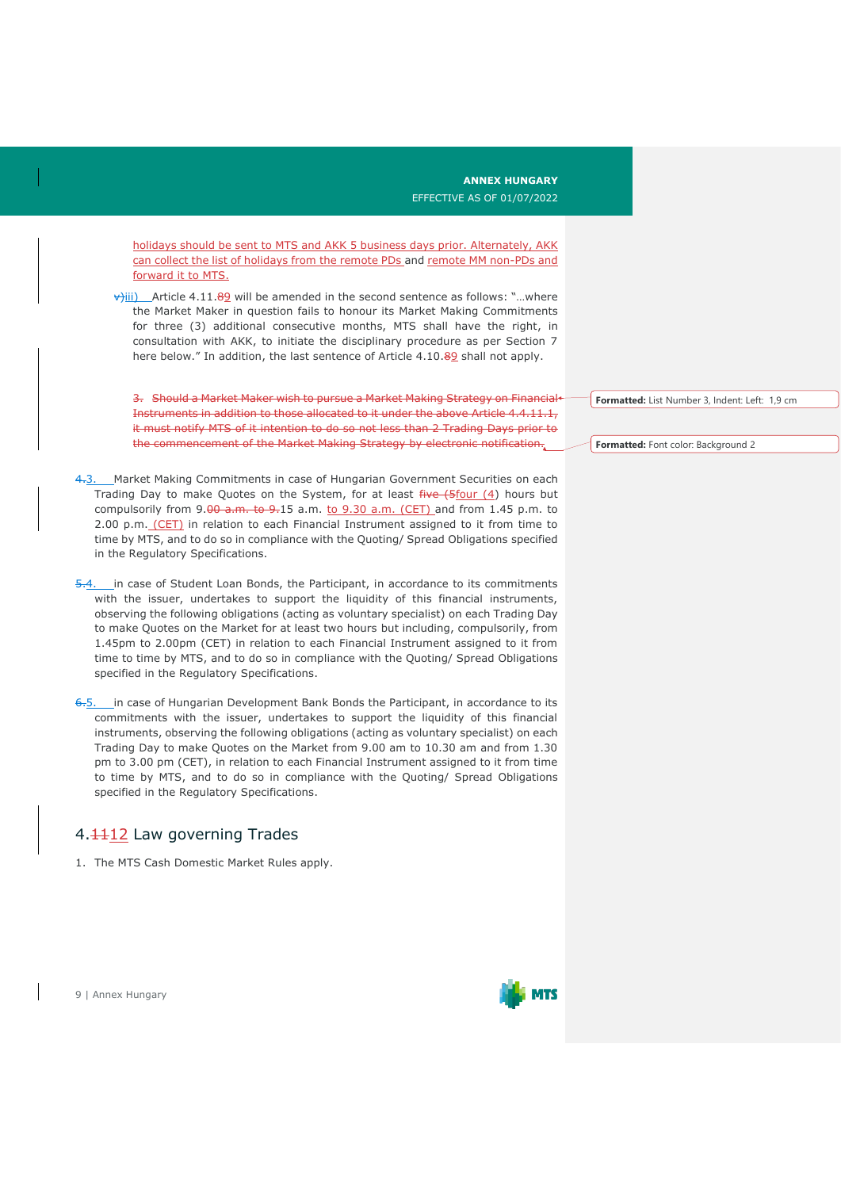holidays should be sent to MTS and AKK 5 business days prior. Alternately, AKK can collect the list of holidays from the remote PDs and remote MM non-PDs and

 $\overrightarrow{v}$ iii) Article 4.11.89 will be amended in the second sentence as follows: "...where the Market Maker in question fails to honour its Market Making Commitments for three (3) additional consecutive months, MTS shall have the right, in consultation with AKK, to initiate the disciplinary procedure as per Section 7 here below." In addition, the last sentence of Article 4.10.89 shall not apply.

3. Should a Market Maker wish to pursue a Market Making Strategy on Financial Instruments in addition to those allocated to it under the above Article 4.4.11.1, it must notify MTS of it intention to do so not less than 2 Trading Days prior to the commencement of the Market Making Strategy by electronic notification.

4.3. Market Making Commitments in case of Hungarian Government Securities on each Trading Day to make Quotes on the System, for at least  $f^2$ ive  $(4)$  hours but compulsorily from  $9.00$  a.m. to  $9.15$  a.m. to  $9.30$  a.m. (CET) and from 1.45 p.m. to 2.00 p.m. (CET) in relation to each Financial Instrument assigned to it from time to time by MTS, and to do so in compliance with the Quoting/ Spread Obligations specified in the Regulatory Specifications.

5.4. in case of Student Loan Bonds, the Participant, in accordance to its commitments with the issuer, undertakes to support the liquidity of this financial instruments, observing the following obligations (acting as voluntary specialist) on each Trading Day to make Quotes on the Market for at least two hours but including, compulsorily, from 1.45pm to 2.00pm (CET) in relation to each Financial Instrument assigned to it from time to time by MTS, and to do so in compliance with the Quoting/ Spread Obligations specified in the Regulatory Specifications.

6.5. in case of Hungarian Development Bank Bonds the Participant, in accordance to its commitments with the issuer, undertakes to support the liquidity of this financial instruments, observing the following obligations (acting as voluntary specialist) on each Trading Day to make Quotes on the Market from 9.00 am to 10.30 am and from 1.30 pm to 3.00 pm (CET), in relation to each Financial Instrument assigned to it from time to time by MTS, and to do so in compliance with the Quoting/ Spread Obligations specified in the Regulatory Specifications.

#### 4. 112 Law governing Trades

forward it to MTS.

1. The MTS Cash Domestic Market Rules apply.

**Formatted:** List Number 3, Indent: Left: 1,9 cm

**Formatted:** Font color: Background 2

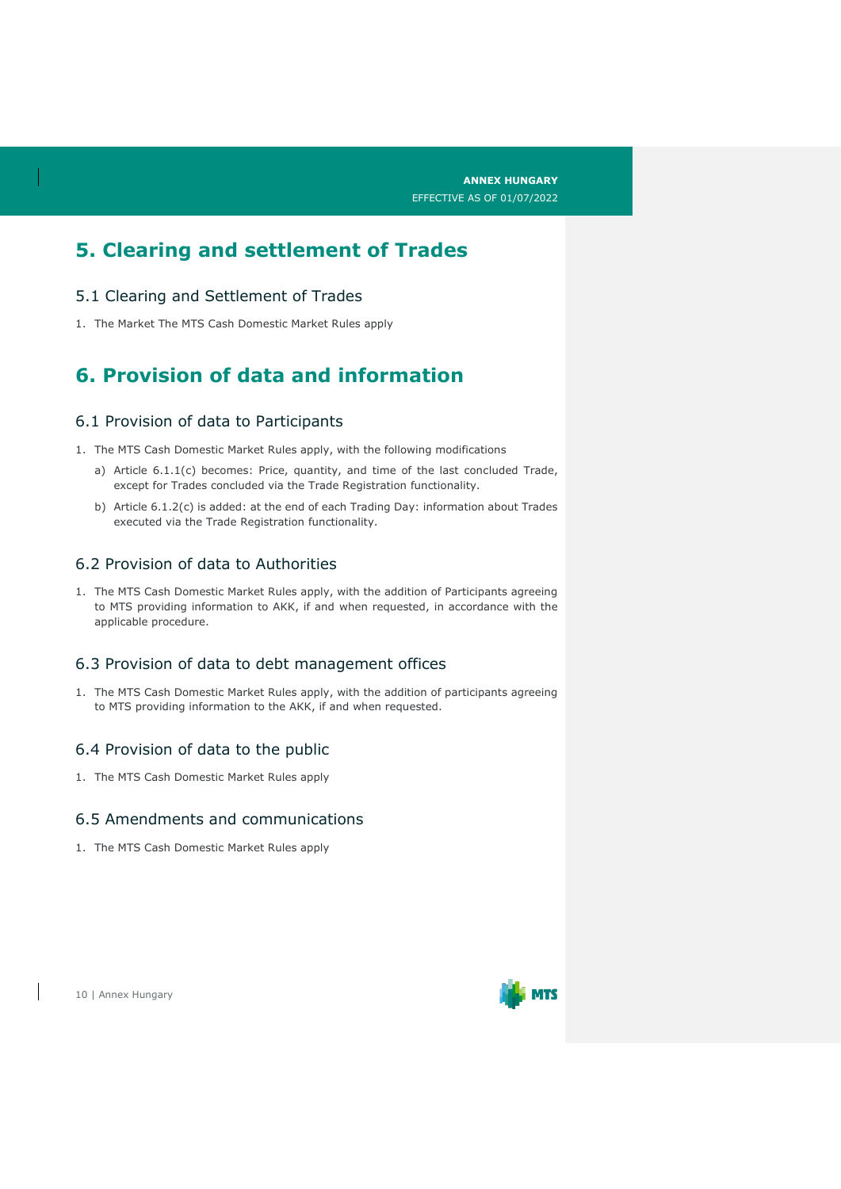## **5. Clearing and settlement of Trades**

#### 5.1 Clearing and Settlement of Trades

1. The Market The MTS Cash Domestic Market Rules apply

## **6. Provision of data and information**

#### 6.1 Provision of data to Participants

- 1. The MTS Cash Domestic Market Rules apply, with the following modifications
	- a) Article 6.1.1(c) becomes: Price, quantity, and time of the last concluded Trade, except for Trades concluded via the Trade Registration functionality.
	- b) Article 6.1.2(c) is added: at the end of each Trading Day: information about Trades executed via the Trade Registration functionality.

#### 6.2 Provision of data to Authorities

1. The MTS Cash Domestic Market Rules apply, with the addition of Participants agreeing to MTS providing information to AKK, if and when requested, in accordance with the applicable procedure.

#### 6.3 Provision of data to debt management offices

1. The MTS Cash Domestic Market Rules apply, with the addition of participants agreeing to MTS providing information to the AKK, if and when requested.

#### 6.4 Provision of data to the public

1. The MTS Cash Domestic Market Rules apply

#### 6.5 Amendments and communications

1. The MTS Cash Domestic Market Rules apply

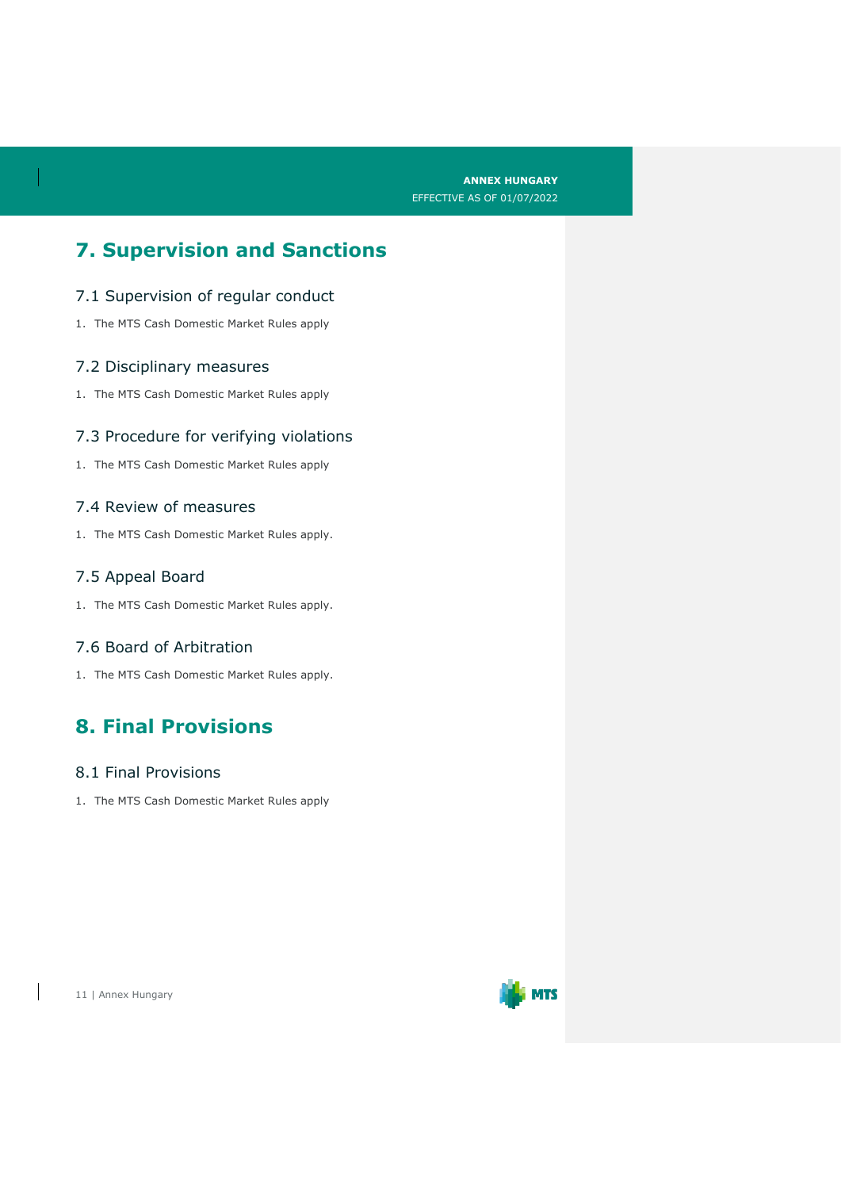## **7. Supervision and Sanctions**

#### 7.1 Supervision of regular conduct

1. The MTS Cash Domestic Market Rules apply

#### 7.2 Disciplinary measures

1. The MTS Cash Domestic Market Rules apply

#### 7.3 Procedure for verifying violations

1. The MTS Cash Domestic Market Rules apply

#### 7.4 Review of measures

1. The MTS Cash Domestic Market Rules apply.

#### 7.5 Appeal Board

1. The MTS Cash Domestic Market Rules apply.

#### 7.6 Board of Arbitration

1. The MTS Cash Domestic Market Rules apply.

## **8. Final Provisions**

#### 8.1 Final Provisions

1. The MTS Cash Domestic Market Rules apply